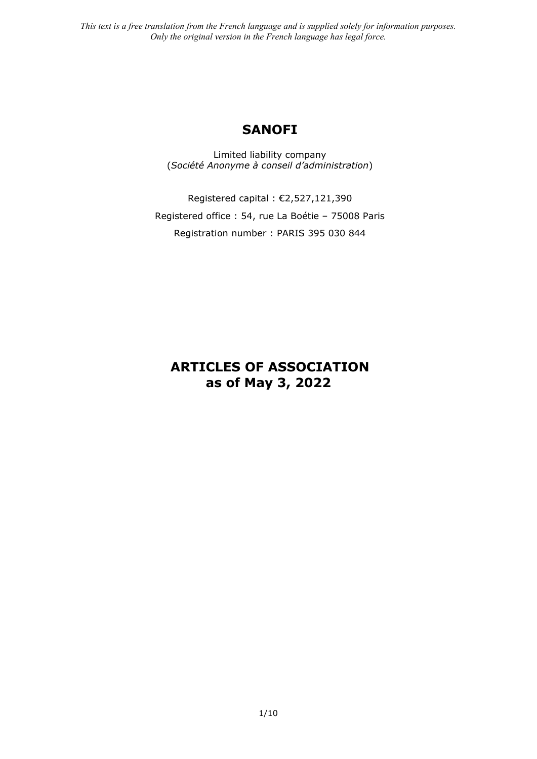# **SANOFI**

Limited liability company (*Société Anonyme à conseil d'administration*)

Registered capital : €2,527,121,390 Registered office : 54, rue La Boétie – 75008 Paris Registration number : PARIS 395 030 844

# **ARTICLES OF ASSOCIATION as of May 3, 2022**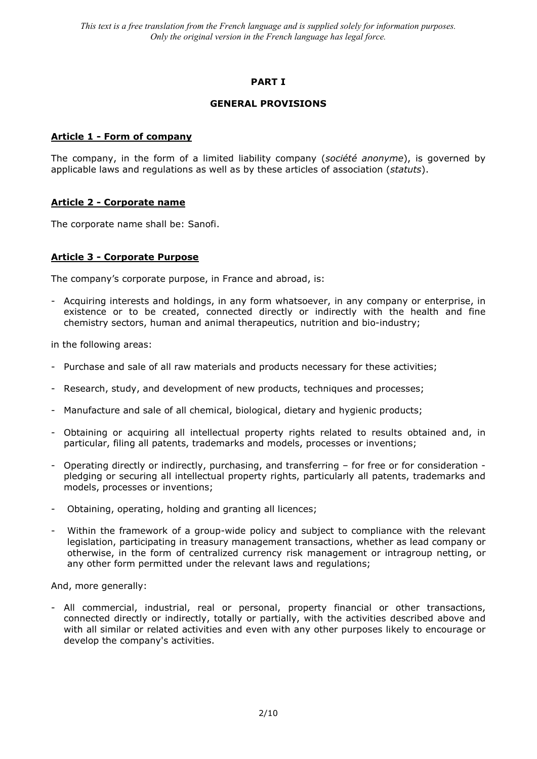# **PART I**

### **GENERAL PROVISIONS**

### **Article 1 - Form of company**

The company, in the form of a limited liability company (*société anonyme*), is governed by applicable laws and regulations as well as by these articles of association (*statuts*).

### **Article 2 - Corporate name**

The corporate name shall be: Sanofi.

### **Article 3 - Corporate Purpose**

The company's corporate purpose, in France and abroad, is:

- Acquiring interests and holdings, in any form whatsoever, in any company or enterprise, in existence or to be created, connected directly or indirectly with the health and fine chemistry sectors, human and animal therapeutics, nutrition and bio-industry;

in the following areas:

- Purchase and sale of all raw materials and products necessary for these activities;
- Research, study, and development of new products, techniques and processes;
- Manufacture and sale of all chemical, biological, dietary and hygienic products;
- Obtaining or acquiring all intellectual property rights related to results obtained and, in particular, filing all patents, trademarks and models, processes or inventions;
- Operating directly or indirectly, purchasing, and transferring for free or for consideration pledging or securing all intellectual property rights, particularly all patents, trademarks and models, processes or inventions;
- Obtaining, operating, holding and granting all licences;
- Within the framework of a group-wide policy and subject to compliance with the relevant legislation, participating in treasury management transactions, whether as lead company or otherwise, in the form of centralized currency risk management or intragroup netting, or any other form permitted under the relevant laws and regulations;

And, more generally:

- All commercial, industrial, real or personal, property financial or other transactions, connected directly or indirectly, totally or partially, with the activities described above and with all similar or related activities and even with any other purposes likely to encourage or develop the company's activities.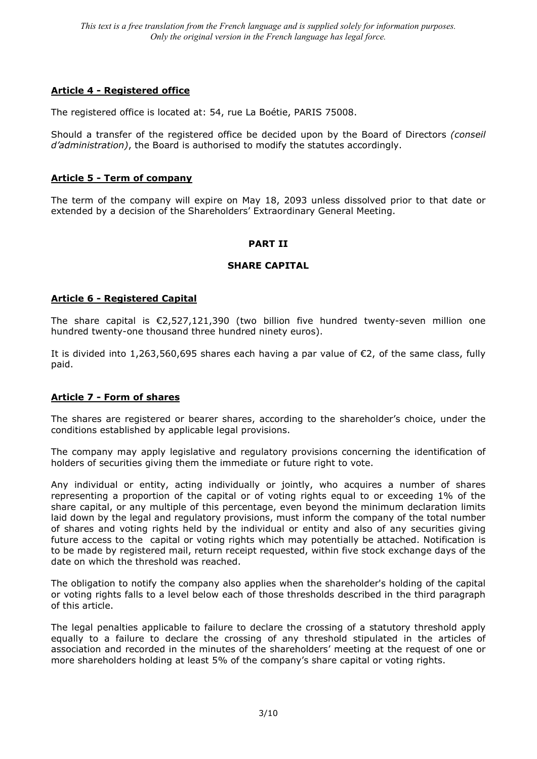# **Article 4 - Registered office**

The registered office is located at: 54, rue La Boétie, PARIS 75008.

Should a transfer of the registered office be decided upon by the Board of Directors *(conseil d'administration)*, the Board is authorised to modify the statutes accordingly.

# **Article 5 - Term of company**

The term of the company will expire on May 18, 2093 unless dissolved prior to that date or extended by a decision of the Shareholders' Extraordinary General Meeting.

# **PART II**

### **SHARE CAPITAL**

# **Article 6 - Registered Capital**

The share capital is €2,527,121,390 (two billion five hundred twenty-seven million one hundred twenty-one thousand three hundred ninety euros).

It is divided into 1,263,560,695 shares each having a par value of €2, of the same class, fully paid.

# **Article 7 - Form of shares**

The shares are registered or bearer shares, according to the shareholder's choice, under the conditions established by applicable legal provisions.

The company may apply legislative and regulatory provisions concerning the identification of holders of securities giving them the immediate or future right to vote.

Any individual or entity, acting individually or jointly, who acquires a number of shares representing a proportion of the capital or of voting rights equal to or exceeding 1% of the share capital, or any multiple of this percentage, even beyond the minimum declaration limits laid down by the legal and regulatory provisions, must inform the company of the total number of shares and voting rights held by the individual or entity and also of any securities giving future access to the capital or voting rights which may potentially be attached. Notification is to be made by registered mail, return receipt requested, within five stock exchange days of the date on which the threshold was reached.

The obligation to notify the company also applies when the shareholder's holding of the capital or voting rights falls to a level below each of those thresholds described in the third paragraph of this article.

The legal penalties applicable to failure to declare the crossing of a statutory threshold apply equally to a failure to declare the crossing of any threshold stipulated in the articles of association and recorded in the minutes of the shareholders' meeting at the request of one or more shareholders holding at least 5% of the company's share capital or voting rights.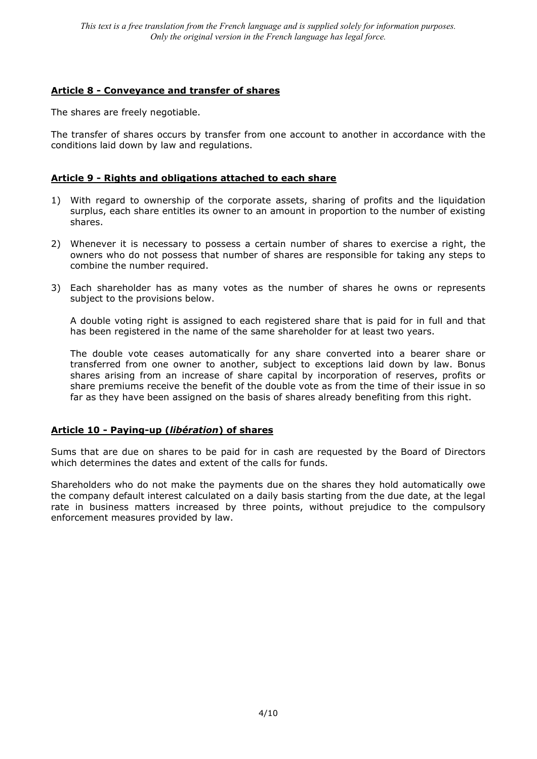# **Article 8 - Conveyance and transfer of shares**

The shares are freely negotiable.

The transfer of shares occurs by transfer from one account to another in accordance with the conditions laid down by law and regulations.

# **Article 9 - Rights and obligations attached to each share**

- 1) With regard to ownership of the corporate assets, sharing of profits and the liquidation surplus, each share entitles its owner to an amount in proportion to the number of existing shares.
- 2) Whenever it is necessary to possess a certain number of shares to exercise a right, the owners who do not possess that number of shares are responsible for taking any steps to combine the number required.
- 3) Each shareholder has as many votes as the number of shares he owns or represents subject to the provisions below.

A double voting right is assigned to each registered share that is paid for in full and that has been registered in the name of the same shareholder for at least two years.

The double vote ceases automatically for any share converted into a bearer share or transferred from one owner to another, subject to exceptions laid down by law. Bonus shares arising from an increase of share capital by incorporation of reserves, profits or share premiums receive the benefit of the double vote as from the time of their issue in so far as they have been assigned on the basis of shares already benefiting from this right.

# **Article 10 - Paying-up (***libération***) of shares**

Sums that are due on shares to be paid for in cash are requested by the Board of Directors which determines the dates and extent of the calls for funds.

Shareholders who do not make the payments due on the shares they hold automatically owe the company default interest calculated on a daily basis starting from the due date, at the legal rate in business matters increased by three points, without prejudice to the compulsory enforcement measures provided by law.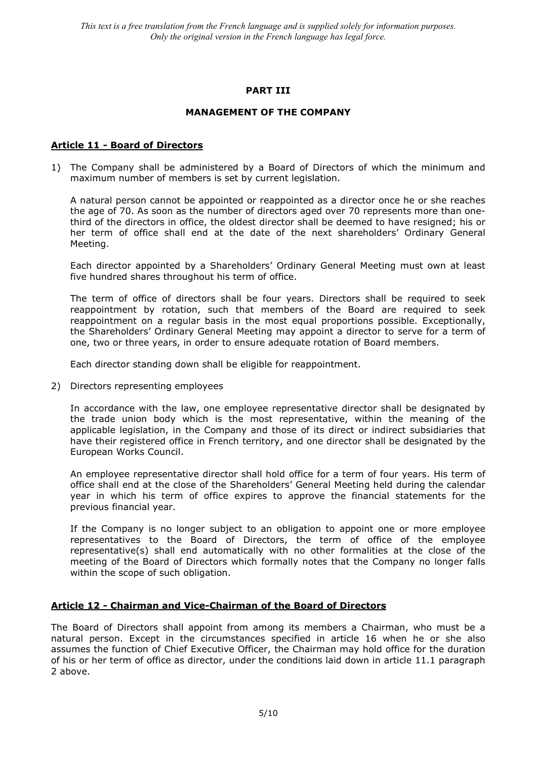### **PART III**

### **MANAGEMENT OF THE COMPANY**

### **Article 11 - Board of Directors**

1) The Company shall be administered by a Board of Directors of which the minimum and maximum number of members is set by current legislation.

A natural person cannot be appointed or reappointed as a director once he or she reaches the age of 70. As soon as the number of directors aged over 70 represents more than onethird of the directors in office, the oldest director shall be deemed to have resigned; his or her term of office shall end at the date of the next shareholders' Ordinary General Meeting.

Each director appointed by a Shareholders' Ordinary General Meeting must own at least five hundred shares throughout his term of office.

The term of office of directors shall be four years. Directors shall be required to seek reappointment by rotation, such that members of the Board are required to seek reappointment on a regular basis in the most equal proportions possible. Exceptionally, the Shareholders' Ordinary General Meeting may appoint a director to serve for a term of one, two or three years, in order to ensure adequate rotation of Board members.

Each director standing down shall be eligible for reappointment.

2) Directors representing employees

In accordance with the law, one employee representative director shall be designated by the trade union body which is the most representative, within the meaning of the applicable legislation, in the Company and those of its direct or indirect subsidiaries that have their registered office in French territory, and one director shall be designated by the European Works Council.

An employee representative director shall hold office for a term of four years. His term of office shall end at the close of the Shareholders' General Meeting held during the calendar year in which his term of office expires to approve the financial statements for the previous financial year.

If the Company is no longer subject to an obligation to appoint one or more employee representatives to the Board of Directors, the term of office of the employee representative(s) shall end automatically with no other formalities at the close of the meeting of the Board of Directors which formally notes that the Company no longer falls within the scope of such obligation.

### **Article 12 - Chairman and Vice-Chairman of the Board of Directors**

The Board of Directors shall appoint from among its members a Chairman, who must be a natural person. Except in the circumstances specified in article 16 when he or she also assumes the function of Chief Executive Officer, the Chairman may hold office for the duration of his or her term of office as director, under the conditions laid down in article 11.1 paragraph 2 above.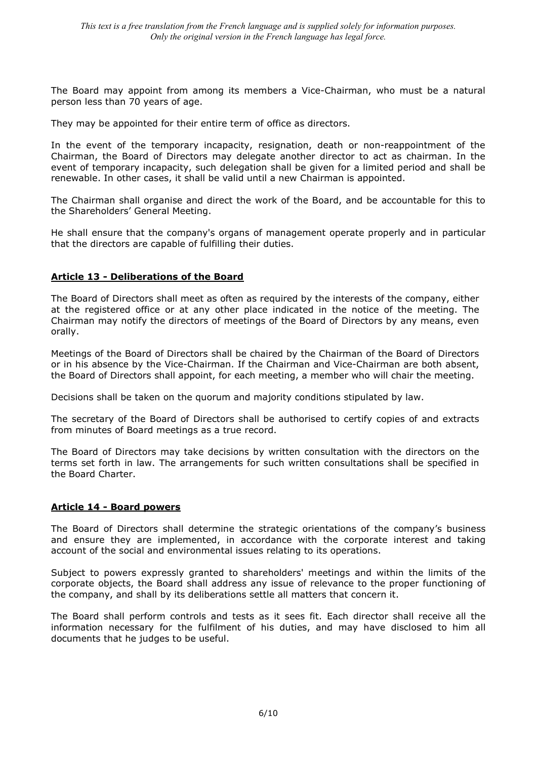The Board may appoint from among its members a Vice-Chairman, who must be a natural person less than 70 years of age.

They may be appointed for their entire term of office as directors.

In the event of the temporary incapacity, resignation, death or non-reappointment of the Chairman, the Board of Directors may delegate another director to act as chairman. In the event of temporary incapacity, such delegation shall be given for a limited period and shall be renewable. In other cases, it shall be valid until a new Chairman is appointed.

The Chairman shall organise and direct the work of the Board, and be accountable for this to the Shareholders' General Meeting.

He shall ensure that the company's organs of management operate properly and in particular that the directors are capable of fulfilling their duties.

# **Article 13 - Deliberations of the Board**

The Board of Directors shall meet as often as required by the interests of the company, either at the registered office or at any other place indicated in the notice of the meeting. The Chairman may notify the directors of meetings of the Board of Directors by any means, even orally.

Meetings of the Board of Directors shall be chaired by the Chairman of the Board of Directors or in his absence by the Vice-Chairman. If the Chairman and Vice-Chairman are both absent, the Board of Directors shall appoint, for each meeting, a member who will chair the meeting.

Decisions shall be taken on the quorum and majority conditions stipulated by law.

The secretary of the Board of Directors shall be authorised to certify copies of and extracts from minutes of Board meetings as a true record.

The Board of Directors may take decisions by written consultation with the directors on the terms set forth in law. The arrangements for such written consultations shall be specified in the Board Charter.

### **Article 14 - Board powers**

The Board of Directors shall determine the strategic orientations of the company's business and ensure they are implemented, in accordance with the corporate interest and taking account of the social and environmental issues relating to its operations.

Subject to powers expressly granted to shareholders' meetings and within the limits of the corporate objects, the Board shall address any issue of relevance to the proper functioning of the company, and shall by its deliberations settle all matters that concern it.

The Board shall perform controls and tests as it sees fit. Each director shall receive all the information necessary for the fulfilment of his duties, and may have disclosed to him all documents that he judges to be useful.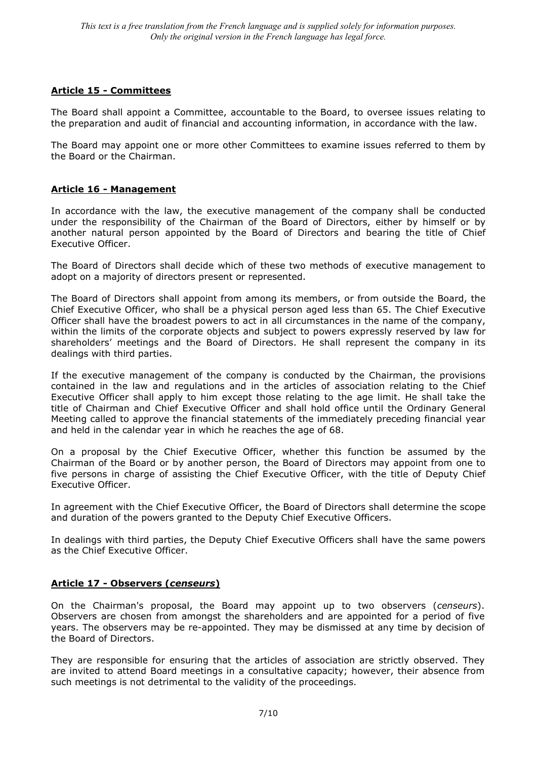# **Article 15 - Committees**

The Board shall appoint a Committee, accountable to the Board, to oversee issues relating to the preparation and audit of financial and accounting information, in accordance with the law.

The Board may appoint one or more other Committees to examine issues referred to them by the Board or the Chairman.

# **Article 16 - Management**

In accordance with the law, the executive management of the company shall be conducted under the responsibility of the Chairman of the Board of Directors, either by himself or by another natural person appointed by the Board of Directors and bearing the title of Chief Executive Officer.

The Board of Directors shall decide which of these two methods of executive management to adopt on a majority of directors present or represented.

The Board of Directors shall appoint from among its members, or from outside the Board, the Chief Executive Officer, who shall be a physical person aged less than 65. The Chief Executive Officer shall have the broadest powers to act in all circumstances in the name of the company, within the limits of the corporate objects and subject to powers expressly reserved by law for shareholders' meetings and the Board of Directors. He shall represent the company in its dealings with third parties.

If the executive management of the company is conducted by the Chairman, the provisions contained in the law and regulations and in the articles of association relating to the Chief Executive Officer shall apply to him except those relating to the age limit. He shall take the title of Chairman and Chief Executive Officer and shall hold office until the Ordinary General Meeting called to approve the financial statements of the immediately preceding financial year and held in the calendar year in which he reaches the age of 68.

On a proposal by the Chief Executive Officer, whether this function be assumed by the Chairman of the Board or by another person, the Board of Directors may appoint from one to five persons in charge of assisting the Chief Executive Officer, with the title of Deputy Chief Executive Officer.

In agreement with the Chief Executive Officer, the Board of Directors shall determine the scope and duration of the powers granted to the Deputy Chief Executive Officers.

In dealings with third parties, the Deputy Chief Executive Officers shall have the same powers as the Chief Executive Officer.

# **Article 17 - Observers (***censeurs***)**

On the Chairman's proposal, the Board may appoint up to two observers (*censeurs*). Observers are chosen from amongst the shareholders and are appointed for a period of five years. The observers may be re-appointed. They may be dismissed at any time by decision of the Board of Directors.

They are responsible for ensuring that the articles of association are strictly observed. They are invited to attend Board meetings in a consultative capacity; however, their absence from such meetings is not detrimental to the validity of the proceedings.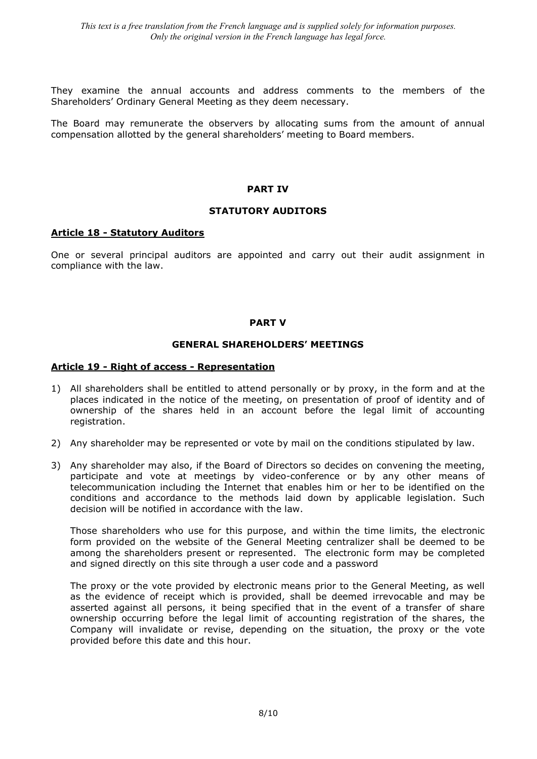They examine the annual accounts and address comments to the members of the Shareholders' Ordinary General Meeting as they deem necessary.

The Board may remunerate the observers by allocating sums from the amount of annual compensation allotted by the general shareholders' meeting to Board members.

#### **PART IV**

### **STATUTORY AUDITORS**

#### **Article 18 - Statutory Auditors**

One or several principal auditors are appointed and carry out their audit assignment in compliance with the law.

### **PART V**

#### **GENERAL SHAREHOLDERS' MEETINGS**

#### **Article 19 - Right of access - Representation**

- 1) All shareholders shall be entitled to attend personally or by proxy, in the form and at the places indicated in the notice of the meeting, on presentation of proof of identity and of ownership of the shares held in an account before the legal limit of accounting registration.
- 2) Any shareholder may be represented or vote by mail on the conditions stipulated by law.
- 3) Any shareholder may also, if the Board of Directors so decides on convening the meeting, participate and vote at meetings by video-conference or by any other means of telecommunication including the Internet that enables him or her to be identified on the conditions and accordance to the methods laid down by applicable legislation. Such decision will be notified in accordance with the law.

Those shareholders who use for this purpose, and within the time limits, the electronic form provided on the website of the General Meeting centralizer shall be deemed to be among the shareholders present or represented. The electronic form may be completed and signed directly on this site through a user code and a password

The proxy or the vote provided by electronic means prior to the General Meeting, as well as the evidence of receipt which is provided, shall be deemed irrevocable and may be asserted against all persons, it being specified that in the event of a transfer of share ownership occurring before the legal limit of accounting registration of the shares, the Company will invalidate or revise, depending on the situation, the proxy or the vote provided before this date and this hour.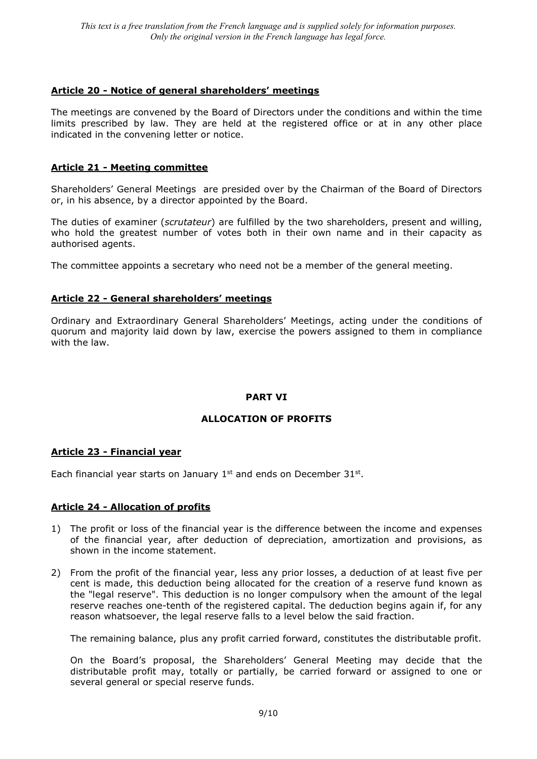# **Article 20 - Notice of general shareholders' meetings**

The meetings are convened by the Board of Directors under the conditions and within the time limits prescribed by law. They are held at the registered office or at in any other place indicated in the convening letter or notice.

# **Article 21 - Meeting committee**

Shareholders' General Meetings are presided over by the Chairman of the Board of Directors or, in his absence, by a director appointed by the Board.

The duties of examiner (*scrutateur*) are fulfilled by the two shareholders, present and willing, who hold the greatest number of votes both in their own name and in their capacity as authorised agents.

The committee appoints a secretary who need not be a member of the general meeting.

# **Article 22 - General shareholders' meetings**

Ordinary and Extraordinary General Shareholders' Meetings, acting under the conditions of quorum and majority laid down by law, exercise the powers assigned to them in compliance with the law.

# **PART VI**

# **ALLOCATION OF PROFITS**

# **Article 23 - Financial year**

Each financial year starts on January  $1<sup>st</sup>$  and ends on December 31 $<sup>st</sup>$ .</sup>

# **Article 24 - Allocation of profits**

- 1) The profit or loss of the financial year is the difference between the income and expenses of the financial year, after deduction of depreciation, amortization and provisions, as shown in the income statement.
- 2) From the profit of the financial year, less any prior losses, a deduction of at least five per cent is made, this deduction being allocated for the creation of a reserve fund known as the "legal reserve". This deduction is no longer compulsory when the amount of the legal reserve reaches one-tenth of the registered capital. The deduction begins again if, for any reason whatsoever, the legal reserve falls to a level below the said fraction.

The remaining balance, plus any profit carried forward, constitutes the distributable profit.

On the Board's proposal, the Shareholders' General Meeting may decide that the distributable profit may, totally or partially, be carried forward or assigned to one or several general or special reserve funds.